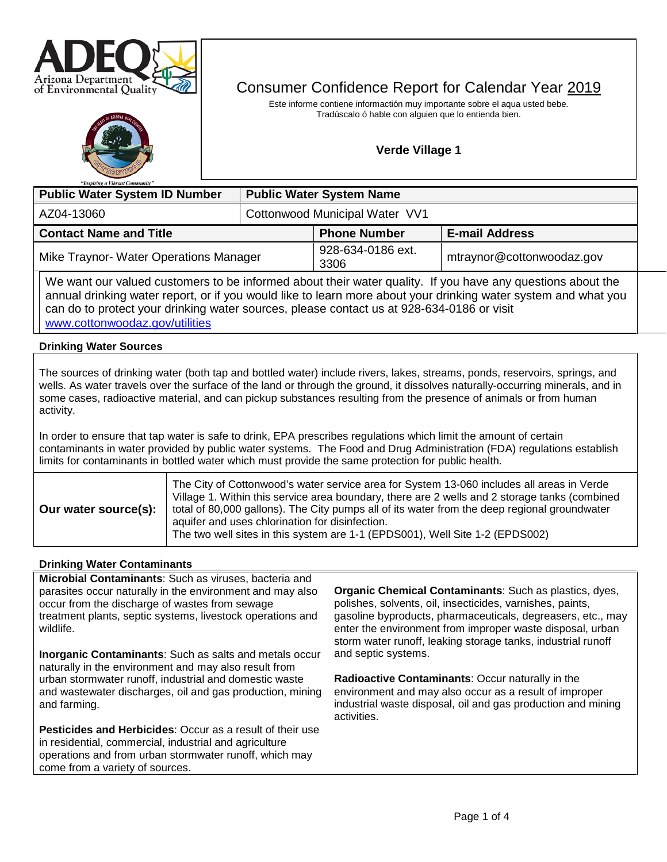



# Consumer Confidence Report for Calendar Year 2019

Este informe contiene informactión muy importante sobre el aqua usted bebe. Tradúscalo ó hable con alguien que lo entienda bien.

# **Verde Village 1**

| "Inspiring a Vibrant Community"                                                                                                                                                                                                                                                                                                              |                                 |                           |                           |  |  |  |
|----------------------------------------------------------------------------------------------------------------------------------------------------------------------------------------------------------------------------------------------------------------------------------------------------------------------------------------------|---------------------------------|---------------------------|---------------------------|--|--|--|
| <b>Public Water System ID Number</b>                                                                                                                                                                                                                                                                                                         | <b>Public Water System Name</b> |                           |                           |  |  |  |
| AZ04-13060                                                                                                                                                                                                                                                                                                                                   | Cottonwood Municipal Water VV1  |                           |                           |  |  |  |
| <b>Contact Name and Title</b>                                                                                                                                                                                                                                                                                                                |                                 | <b>Phone Number</b>       | <b>E-mail Address</b>     |  |  |  |
| Mike Traynor- Water Operations Manager                                                                                                                                                                                                                                                                                                       |                                 | 928-634-0186 ext.<br>3306 | mtraynor@cottonwoodaz.gov |  |  |  |
| We want our valued customers to be informed about their water quality. If you have any questions about the<br>unuld like to learn more about your triple to learn the set of the triple of the learn to the triple of the learn to the learn to the learn to the learn to the learn to the learn to the learn to the learn to the learn to t |                                 |                           |                           |  |  |  |

annual drinking water report, or if you would like to learn more about your drinking water system and what you can do to protect your drinking water sources, please contact us at 928-634-0186 or visit [www.cottonwoodaz.gov/utilities](http://www.cottonwoodaz.gov/utilities) 

## **Drinking Water Sources**

The sources of drinking water (both tap and bottled water) include rivers, lakes, streams, ponds, reservoirs, springs, and wells. As water travels over the surface of the land or through the ground, it dissolves naturally-occurring minerals, and in some cases, radioactive material, and can pickup substances resulting from the presence of animals or from human activity.

In order to ensure that tap water is safe to drink, EPA prescribes regulations which limit the amount of certain contaminants in water provided by public water systems. The Food and Drug Administration (FDA) regulations establish limits for contaminants in bottled water which must provide the same protection for public health.

| Our water source(s): | The City of Cottonwood's water service area for System 13-060 includes all areas in Verde<br>Village 1. Within this service area boundary, there are 2 wells and 2 storage tanks (combined<br>total of 80,000 gallons). The City pumps all of its water from the deep regional groundwater<br>aquifer and uses chlorination for disinfection.<br>The two well sites in this system are 1-1 (EPDS001), Well Site 1-2 (EPDS002) |
|----------------------|-------------------------------------------------------------------------------------------------------------------------------------------------------------------------------------------------------------------------------------------------------------------------------------------------------------------------------------------------------------------------------------------------------------------------------|
|----------------------|-------------------------------------------------------------------------------------------------------------------------------------------------------------------------------------------------------------------------------------------------------------------------------------------------------------------------------------------------------------------------------------------------------------------------------|

#### **Drinking Water Contaminants**

**Microbial Contaminants:** Such as viruses, bacteria and parasites occur naturally in the environment and may also occur from the discharge of wastes from sewage treatment plants, septic systems, livestock operations and wildlife.

**Inorganic Contaminants**: Such as salts and metals occur naturally in the environment and may also result from urban stormwater runoff, industrial and domestic waste and wastewater discharges, oil and gas production, mining and farming.

**Pesticides and Herbicides**: Occur as a result of their use in residential, commercial, industrial and agriculture operations and from urban stormwater runoff, which may come from a variety of sources.

**Organic Chemical Contaminants**: Such as plastics, dyes, polishes, solvents, oil, insecticides, varnishes, paints, gasoline byproducts, pharmaceuticals, degreasers, etc., may enter the environment from improper waste disposal, urban storm water runoff, leaking storage tanks, industrial runoff and septic systems.

**Radioactive Contaminants**: Occur naturally in the environment and may also occur as a result of improper industrial waste disposal, oil and gas production and mining activities.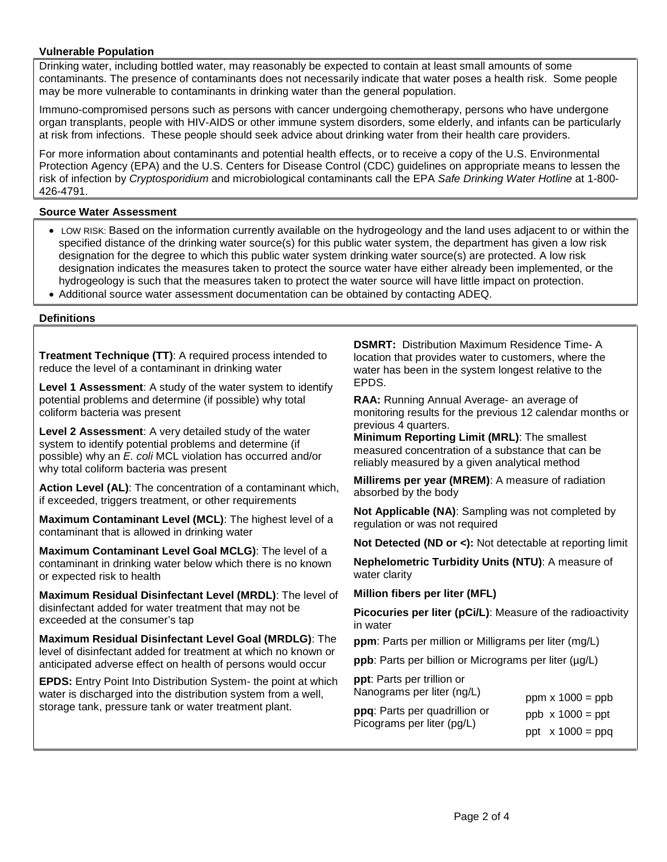## **Vulnerable Population**

Drinking water, including bottled water, may reasonably be expected to contain at least small amounts of some contaminants. The presence of contaminants does not necessarily indicate that water poses a health risk. Some people may be more vulnerable to contaminants in drinking water than the general population.

Immuno-compromised persons such as persons with cancer undergoing chemotherapy, persons who have undergone organ transplants, people with HIV-AIDS or other immune system disorders, some elderly, and infants can be particularly at risk from infections. These people should seek advice about drinking water from their health care providers.

For more information about contaminants and potential health effects, or to receive a copy of the U.S. Environmental Protection Agency (EPA) and the U.S. Centers for Disease Control (CDC) guidelines on appropriate means to lessen the risk of infection by *Cryptosporidium* and microbiological contaminants call the EPA *Safe Drinking Water Hotline* at 1-800- 426-4791.

## **Source Water Assessment**

- LOW RISK: Based on the information currently available on the hydrogeology and the land uses adjacent to or within the specified distance of the drinking water source(s) for this public water system, the department has given a low risk designation for the degree to which this public water system drinking water source(s) are protected. A low risk designation indicates the measures taken to protect the source water have either already been implemented, or the hydrogeology is such that the measures taken to protect the water source will have little impact on protection.
- Additional source water assessment documentation can be obtained by contacting ADEQ.

#### **Definitions**

**Treatment Technique (TT)**: A required process intended to reduce the level of a contaminant in drinking water

**Level 1 Assessment**: A study of the water system to identify potential problems and determine (if possible) why total coliform bacteria was present

**Level 2 Assessment**: A very detailed study of the water system to identify potential problems and determine (if possible) why an *E. coli* MCL violation has occurred and/or why total coliform bacteria was present

**Action Level (AL)**: The concentration of a contaminant which, if exceeded, triggers treatment, or other requirements

**Maximum Contaminant Level (MCL)**: The highest level of a contaminant that is allowed in drinking water

**Maximum Contaminant Level Goal MCLG)**: The level of a contaminant in drinking water below which there is no known or expected risk to health

**Maximum Residual Disinfectant Level (MRDL)**: The level of disinfectant added for water treatment that may not be exceeded at the consumer's tap

**Maximum Residual Disinfectant Level Goal (MRDLG)**: The level of disinfectant added for treatment at which no known or anticipated adverse effect on health of persons would occur

**EPDS:** Entry Point Into Distribution System- the point at which water is discharged into the distribution system from a well, storage tank, pressure tank or water treatment plant.

**DSMRT:** Distribution Maximum Residence Time- A location that provides water to customers, where the water has been in the system longest relative to the EPDS.

**RAA:** Running Annual Average- an average of monitoring results for the previous 12 calendar months or previous 4 quarters.

**Minimum Reporting Limit (MRL)**: The smallest measured concentration of a substance that can be reliably measured by a given analytical method

**Millirems per year (MREM)**: A measure of radiation absorbed by the body

**Not Applicable (NA)**: Sampling was not completed by regulation or was not required

**Not Detected (ND or <):** Not detectable at reporting limit

**Nephelometric Turbidity Units (NTU)**: A measure of water clarity

**Million fibers per liter (MFL)**

**Picocuries per liter (pCi/L)**: Measure of the radioactivity in water

**ppm**: Parts per million or Milligrams per liter (mg/L)

**ppb**: Parts per billion or Micrograms per liter ( $\mu$ g/L)

**ppt**: Parts per trillion or Nanograms per liter (ng/L) **ppq**: Parts per quadrillion or Picograms per liter (pg/L) ppm  $x 1000 = ppb$ ppb  $\times$  1000 = ppt ppt  $x 1000 = ppq$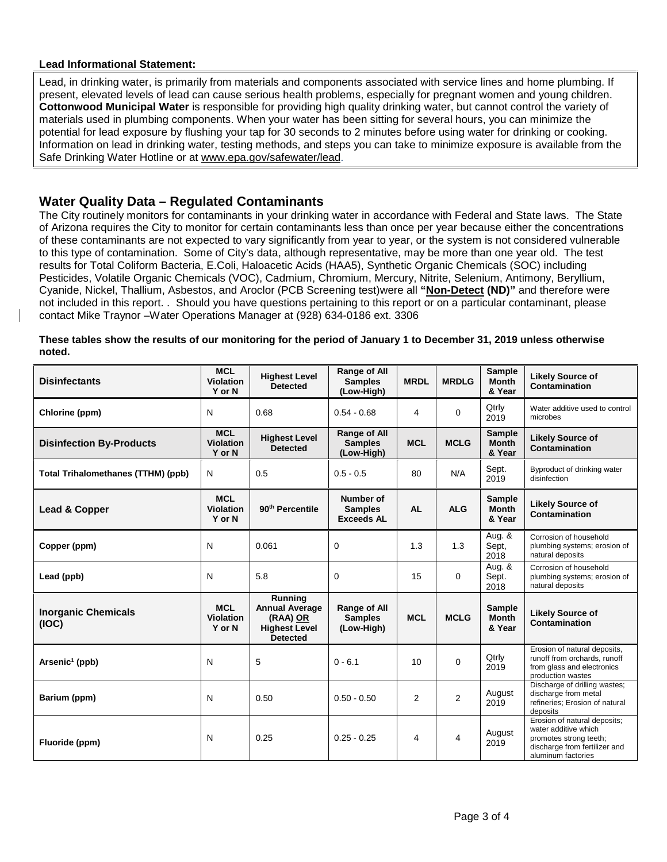#### **Lead Informational Statement:**

Lead, in drinking water, is primarily from materials and components associated with service lines and home plumbing. If present, elevated levels of lead can cause serious health problems, especially for pregnant women and young children. **Cottonwood Municipal Water** is responsible for providing high quality drinking water, but cannot control the variety of materials used in plumbing components. When your water has been sitting for several hours, you can minimize the potential for lead exposure by flushing your tap for 30 seconds to 2 minutes before using water for drinking or cooking. Information on lead in drinking water, testing methods, and steps you can take to minimize exposure is available from the Safe Drinking Water Hotline or at [www.epa.gov/safewater/lead.](http://www.epa.gov/safewater/lead)

# **Water Quality Data – Regulated Contaminants**

The City routinely monitors for contaminants in your drinking water in accordance with Federal and State laws. The State of Arizona requires the City to monitor for certain contaminants less than once per year because either the concentrations of these contaminants are not expected to vary significantly from year to year, or the system is not considered vulnerable to this type of contamination. Some of City's data, although representative, may be more than one year old. The test results for Total Coliform Bacteria, E.Coli, Haloacetic Acids (HAA5), Synthetic Organic Chemicals (SOC) including Pesticides, Volatile Organic Chemicals (VOC), Cadmium, Chromium, Mercury, Nitrite, Selenium, Antimony, Beryllium, Cyanide, Nickel, Thallium, Asbestos, and Aroclor (PCB Screening test)were all **"Non-Detect (ND)"** and therefore were not included in this report. . Should you have questions pertaining to this report or on a particular contaminant, please contact Mike Traynor –Water Operations Manager at (928) 634-0186 ext. 3306

**These tables show the results of our monitoring for the period of January 1 to December 31, 2019 unless otherwise noted.**

| <b>Disinfectants</b>                      | <b>MCL</b><br><b>Violation</b><br>Y or N | <b>Highest Level</b><br><b>Detected</b>                                                 | Range of All<br><b>Samples</b><br>(Low-High)        | <b>MRDL</b> | <b>MRDLG</b>   | Sample<br><b>Month</b><br>& Year        | <b>Likely Source of</b><br>Contamination                                                                                              |
|-------------------------------------------|------------------------------------------|-----------------------------------------------------------------------------------------|-----------------------------------------------------|-------------|----------------|-----------------------------------------|---------------------------------------------------------------------------------------------------------------------------------------|
| Chlorine (ppm)                            | N                                        | 0.68                                                                                    | $0.54 - 0.68$                                       | 4           | $\Omega$       | Qtrly<br>2019                           | Water additive used to control<br>microbes                                                                                            |
| <b>Disinfection By-Products</b>           | <b>MCL</b><br><b>Violation</b><br>Y or N | <b>Highest Level</b><br><b>Detected</b>                                                 | <b>Range of All</b><br><b>Samples</b><br>(Low-High) | <b>MCL</b>  | <b>MCLG</b>    | <b>Sample</b><br><b>Month</b><br>& Year | <b>Likely Source of</b><br>Contamination                                                                                              |
| <b>Total Trihalomethanes (TTHM) (ppb)</b> | N                                        | 0.5                                                                                     | $0.5 - 0.5$                                         | 80          | N/A            | Sept.<br>2019                           | Byproduct of drinking water<br>disinfection                                                                                           |
| Lead & Copper                             | <b>MCL</b><br><b>Violation</b><br>Y or N | 90 <sup>th</sup> Percentile                                                             | Number of<br><b>Samples</b><br><b>Exceeds AL</b>    | <b>AL</b>   | <b>ALG</b>     | <b>Sample</b><br><b>Month</b><br>& Year | <b>Likely Source of</b><br>Contamination                                                                                              |
| Copper (ppm)                              | N                                        | 0.061                                                                                   | $\Omega$                                            | 1.3         | 1.3            | Aug. &<br>Sept,<br>2018                 | Corrosion of household<br>plumbing systems; erosion of<br>natural deposits                                                            |
| Lead (ppb)                                | N                                        | 5.8                                                                                     | 0                                                   | 15          | 0              | Aug. &<br>Sept.<br>2018                 | Corrosion of household<br>plumbing systems; erosion of<br>natural deposits                                                            |
| <b>Inorganic Chemicals</b><br>(IOC)       | <b>MCL</b><br><b>Violation</b><br>Y or N | Running<br><b>Annual Average</b><br>(RAA) OR<br><b>Highest Level</b><br><b>Detected</b> | <b>Range of All</b><br><b>Samples</b><br>(Low-High) | <b>MCL</b>  | <b>MCLG</b>    | <b>Sample</b><br><b>Month</b><br>& Year | <b>Likely Source of</b><br>Contamination                                                                                              |
| Arsenic <sup>1</sup> (ppb)                | N                                        | 5                                                                                       | $0 - 6.1$                                           | 10          | $\Omega$       | Qtrly<br>2019                           | Erosion of natural deposits,<br>runoff from orchards, runoff<br>from glass and electronics<br>production wastes                       |
| Barium (ppm)                              | N                                        | 0.50                                                                                    | $0.50 - 0.50$                                       | 2           | $\overline{2}$ | August<br>2019                          | Discharge of drilling wastes;<br>discharge from metal<br>refineries; Erosion of natural<br>deposits                                   |
| Fluoride (ppm)                            | N                                        | 0.25                                                                                    | $0.25 - 0.25$                                       | 4           | 4              | August<br>2019                          | Erosion of natural deposits;<br>water additive which<br>promotes strong teeth;<br>discharge from fertilizer and<br>aluminum factories |